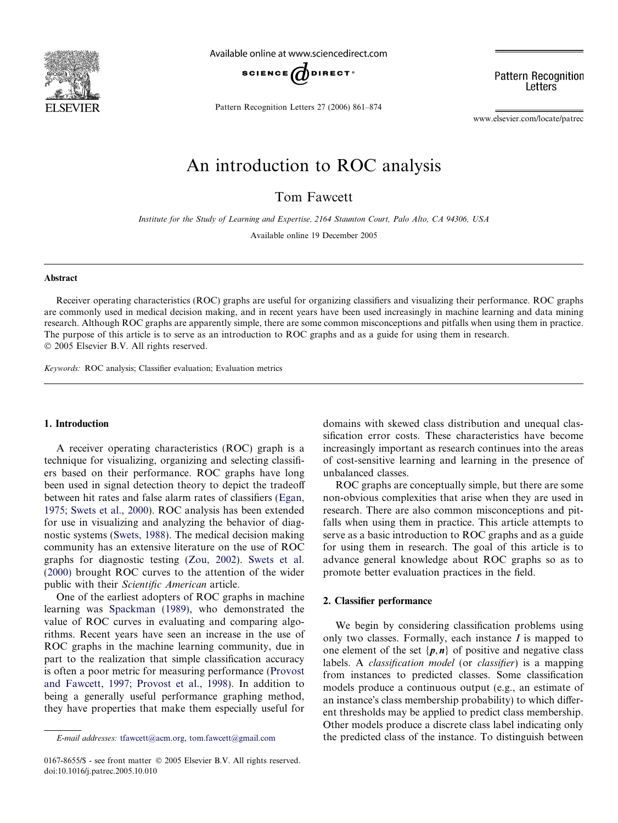

Available online at www.sciencedirect.com



Pattern Recognition Letters 27 (2006) 861–874

**Pattern Recognition** Letters

www.elsevier.com/locate/patrec

# An introduction to ROC analysis

Tom Fawcett

Institute for the Study of Learning and Expertise, 2164 Staunton Court, Palo Alto, CA 94306, USA

Available online 19 December 2005

#### Abstract

Receiver operating characteristics (ROC) graphs are useful for organizing classifiers and visualizing their performance. ROC graphs are commonly used in medical decision making, and in recent years have been used increasingly in machine learning and data mining research. Although ROC graphs are apparently simple, there are some common misconceptions and pitfalls when using them in practice. The purpose of this article is to serve as an introduction to ROC graphs and as a guide for using them in research. © 2005 Elsevier B.V. All rights reserved.

Keywords: ROC analysis; Classifier evaluation; Evaluation metrics

## 1. Introduction

A receiver operating characteristics (ROC) graph is a technique for visualizing, organizing and selecting classifiers based on their performance. ROC graphs have long been used in signal detection theory to depict the tradeoff between hit rates and false alarm rates of classifiers ([Egan,](#page-12-0) [1975; Swets et al., 2000](#page-12-0)). ROC analysis has been extended for use in visualizing and analyzing the behavior of diagnostic systems ([Swets, 1988\)](#page-12-0). The medical decision making community has an extensive literature on the use of ROC graphs for diagnostic testing ([Zou, 2002\)](#page-13-0). [Swets et al.](#page-13-0) [\(2000\)](#page-13-0) brought ROC curves to the attention of the wider public with their Scientific American article.

One of the earliest adopters of ROC graphs in machine learning was [Spackman \(1989\),](#page-12-0) who demonstrated the value of ROC curves in evaluating and comparing algorithms. Recent years have seen an increase in the use of ROC graphs in the machine learning community, due in part to the realization that simple classification accuracy is often a poor metric for measuring performance ([Provost](#page-12-0) [and Fawcett, 1997; Provost et al., 1998\)](#page-12-0). In addition to being a generally useful performance graphing method, they have properties that make them especially useful for

domains with skewed class distribution and unequal classification error costs. These characteristics have become increasingly important as research continues into the areas of cost-sensitive learning and learning in the presence of unbalanced classes.

ROC graphs are conceptually simple, but there are some non-obvious complexities that arise when they are used in research. There are also common misconceptions and pitfalls when using them in practice. This article attempts to serve as a basic introduction to ROC graphs and as a guide for using them in research. The goal of this article is to advance general knowledge about ROC graphs so as to promote better evaluation practices in the field.

# 2. Classifier performance

We begin by considering classification problems using only two classes. Formally, each instance  $I$  is mapped to one element of the set  $\{p,n\}$  of positive and negative class labels. A classification model (or classifier) is a mapping from instances to predicted classes. Some classification models produce a continuous output (e.g., an estimate of an instance's class membership probability) to which different thresholds may be applied to predict class membership. Other models produce a discrete class label indicating only the predicted class of the instance. To distinguish between

E-mail addresses: [tfawcett@acm.org,](mailto:tfawcett@acm.org) [tom.fawcett@gmail.com](mailto:tom.fawcett@gmail.com)

<sup>0167-8655/\$ -</sup> see front matter © 2005 Elsevier B.V. All rights reserved. doi:10.1016/j.patrec.2005.10.010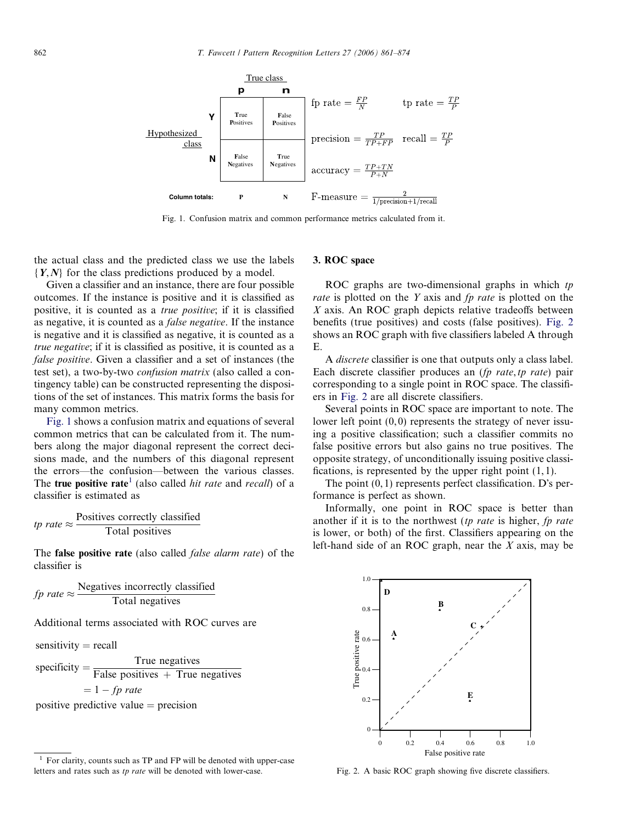<span id="page-1-0"></span>

Fig. 1. Confusion matrix and common performance metrics calculated from it.

the actual class and the predicted class we use the labels  ${Y, N}$  for the class predictions produced by a model.

Given a classifier and an instance, there are four possible outcomes. If the instance is positive and it is classified as positive, it is counted as a true positive; if it is classified as negative, it is counted as a false negative. If the instance is negative and it is classified as negative, it is counted as a true negative; if it is classified as positive, it is counted as a false positive. Given a classifier and a set of instances (the test set), a two-by-two confusion matrix (also called a contingency table) can be constructed representing the dispositions of the set of instances. This matrix forms the basis for many common metrics.

Fig. 1 shows a confusion matrix and equations of several common metrics that can be calculated from it. The numbers along the major diagonal represent the correct decisions made, and the numbers of this diagonal represent the errors—the confusion—between the various classes. The true positive rate<sup>1</sup> (also called *hit rate* and *recall*) of a classifier is estimated as

*tp rate* 
$$
\approx
$$
  $\frac{\text{Positives correctly classified}}{\text{Total positives}}$ 

The false positive rate (also called *false alarm rate*) of the classifier is

fp rate  $\approx$  Negatives incorrectly classified Total negatives

Additional terms associated with ROC curves are

$$
sensitivity = recall
$$

specificity  $=$   $\frac{\text{True negatives}}{\text{False positives} + \text{True negatives}}$  $= 1 - fp$  rate

positive predictive value  $=$  precision

## 3. ROC space

ROC graphs are two-dimensional graphs in which tp rate is plotted on the Y axis and fp rate is plotted on the  $X$  axis. An ROC graph depicts relative tradeoffs between benefits (true positives) and costs (false positives). Fig. 2 shows an ROC graph with five classifiers labeled A through E.

A discrete classifier is one that outputs only a class label. Each discrete classifier produces an (fp rate, tp rate) pair corresponding to a single point in ROC space. The classifiers in Fig. 2 are all discrete classifiers.

Several points in ROC space are important to note. The lower left point  $(0, 0)$  represents the strategy of never issuing a positive classification; such a classifier commits no false positive errors but also gains no true positives. The opposite strategy, of unconditionally issuing positive classifications, is represented by the upper right point  $(1, 1)$ .

The point  $(0,1)$  represents perfect classification. D's performance is perfect as shown.

Informally, one point in ROC space is better than another if it is to the northwest (tp rate is higher, fp rate is lower, or both) of the first. Classifiers appearing on the left-hand side of an ROC graph, near the  $X$  axis, may be



Fig. 2. A basic ROC graph showing five discrete classifiers.

 $1$  For clarity, counts such as TP and FP will be denoted with upper-case letters and rates such as tp rate will be denoted with lower-case.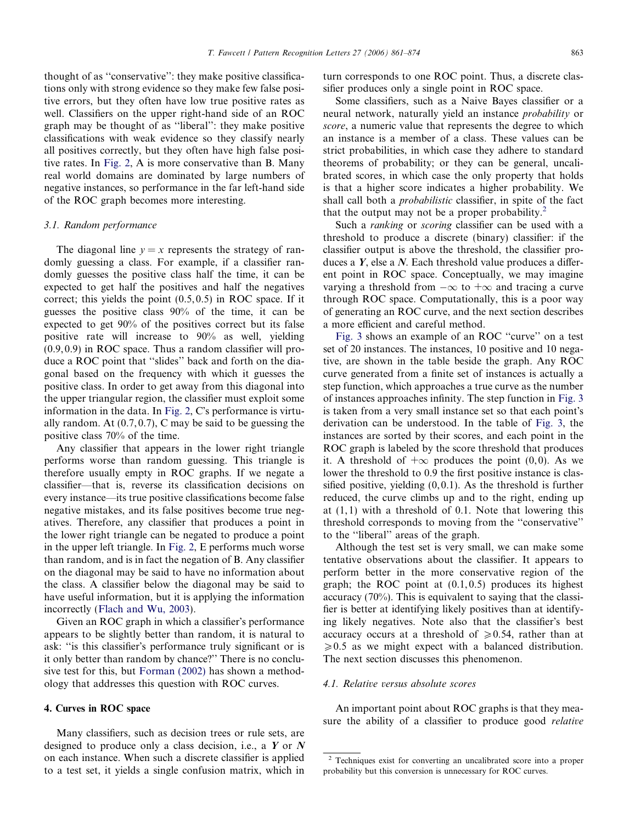<span id="page-2-0"></span>thought of as ''conservative'': they make positive classifications only with strong evidence so they make few false positive errors, but they often have low true positive rates as well. Classifiers on the upper right-hand side of an ROC graph may be thought of as ''liberal'': they make positive classifications with weak evidence so they classify nearly all positives correctly, but they often have high false positive rates. In [Fig. 2](#page-1-0), A is more conservative than B. Many real world domains are dominated by large numbers of negative instances, so performance in the far left-hand side of the ROC graph becomes more interesting.

#### 3.1. Random performance

The diagonal line  $y = x$  represents the strategy of randomly guessing a class. For example, if a classifier randomly guesses the positive class half the time, it can be expected to get half the positives and half the negatives correct; this yields the point (0.5, 0.5) in ROC space. If it guesses the positive class 90% of the time, it can be expected to get 90% of the positives correct but its false positive rate will increase to 90% as well, yielding (0.9, 0.9) in ROC space. Thus a random classifier will produce a ROC point that ''slides'' back and forth on the diagonal based on the frequency with which it guesses the positive class. In order to get away from this diagonal into the upper triangular region, the classifier must exploit some information in the data. In [Fig. 2](#page-1-0),  $C$ 's performance is virtually random. At (0.7, 0.7), C may be said to be guessing the positive class 70% of the time.

Any classifier that appears in the lower right triangle performs worse than random guessing. This triangle is therefore usually empty in ROC graphs. If we negate a classifier—that is, reverse its classification decisions on every instance—its true positive classifications become false negative mistakes, and its false positives become true negatives. Therefore, any classifier that produces a point in the lower right triangle can be negated to produce a point in the upper left triangle. In [Fig. 2](#page-1-0), E performs much worse than random, and is in fact the negation of B. Any classifier on the diagonal may be said to have no information about the class. A classifier below the diagonal may be said to have useful information, but it is applying the information incorrectly ([Flach and Wu, 2003\)](#page-12-0).

Given an ROC graph in which a classifier's performance appears to be slightly better than random, it is natural to ask: "is this classifier's performance truly significant or is it only better than random by chance?'' There is no conclusive test for this, but [Forman \(2002\)](#page-12-0) has shown a methodology that addresses this question with ROC curves.

# 4. Curves in ROC space

Many classifiers, such as decision trees or rule sets, are designed to produce only a class decision, i.e., a  $Y$  or  $N$ on each instance. When such a discrete classifier is applied to a test set, it yields a single confusion matrix, which in

turn corresponds to one ROC point. Thus, a discrete classifier produces only a single point in ROC space.

Some classifiers, such as a Naive Bayes classifier or a neural network, naturally yield an instance probability or score, a numeric value that represents the degree to which an instance is a member of a class. These values can be strict probabilities, in which case they adhere to standard theorems of probability; or they can be general, uncalibrated scores, in which case the only property that holds is that a higher score indicates a higher probability. We shall call both a probabilistic classifier, in spite of the fact that the output may not be a proper probability. $^{2}$ 

Such a ranking or scoring classifier can be used with a threshold to produce a discrete (binary) classifier: if the classifier output is above the threshold, the classifier produces a  $Y$ , else a  $N$ . Each threshold value produces a different point in ROC space. Conceptually, we may imagine varying a threshold from  $-\infty$  to  $+\infty$  and tracing a curve through ROC space. Computationally, this is a poor way of generating an ROC curve, and the next section describes a more efficient and careful method.

[Fig. 3](#page-3-0) shows an example of an ROC ''curve'' on a test set of 20 instances. The instances, 10 positive and 10 negative, are shown in the table beside the graph. Any ROC curve generated from a finite set of instances is actually a step function, which approaches a true curve as the number of instances approaches infinity. The step function in [Fig. 3](#page-3-0) is taken from a very small instance set so that each point's derivation can be understood. In the table of [Fig. 3](#page-3-0), the instances are sorted by their scores, and each point in the ROC graph is labeled by the score threshold that produces it. A threshold of  $+\infty$  produces the point (0,0). As we lower the threshold to 0.9 the first positive instance is classified positive, yielding  $(0, 0.1)$ . As the threshold is further reduced, the curve climbs up and to the right, ending up at  $(1, 1)$  with a threshold of 0.1. Note that lowering this threshold corresponds to moving from the ''conservative'' to the ''liberal'' areas of the graph.

Although the test set is very small, we can make some tentative observations about the classifier. It appears to perform better in the more conservative region of the graph; the ROC point at  $(0.1, 0.5)$  produces its highest accuracy (70%). This is equivalent to saying that the classifier is better at identifying likely positives than at identifying likely negatives. Note also that the classifier's best accuracy occurs at a threshold of  $\geq 0.54$ , rather than at  $\geq 0.5$  as we might expect with a balanced distribution. The next section discusses this phenomenon.

# 4.1. Relative versus absolute scores

An important point about ROC graphs is that they measure the ability of a classifier to produce good *relative* 

<sup>2</sup> Techniques exist for converting an uncalibrated score into a proper probability but this conversion is unnecessary for ROC curves.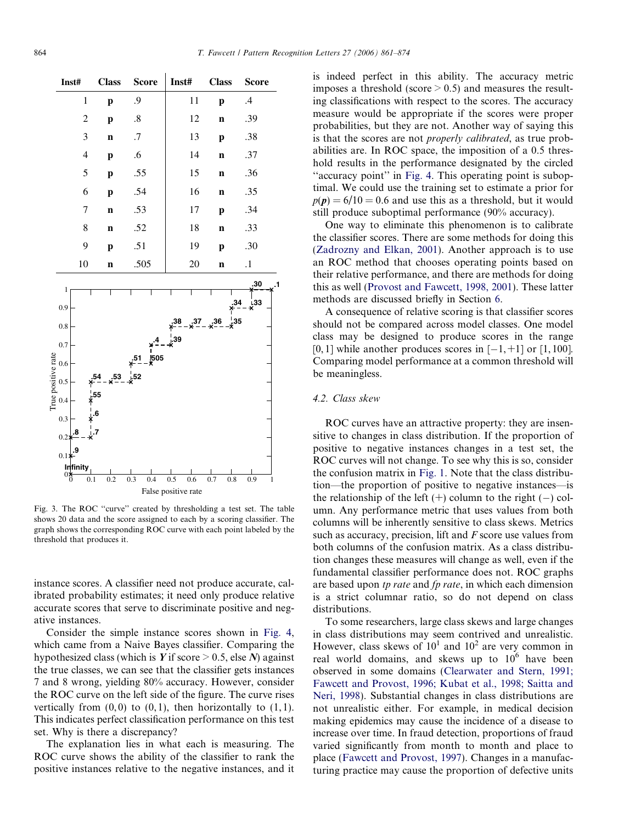<span id="page-3-0"></span>

|                    | Inst#           |                          | <b>Class</b>                            | <b>Score</b>                                                                                                                                                                                                                                                                                                   | Inst#               | <b>Class</b> | Score                  |
|--------------------|-----------------|--------------------------|-----------------------------------------|----------------------------------------------------------------------------------------------------------------------------------------------------------------------------------------------------------------------------------------------------------------------------------------------------------------|---------------------|--------------|------------------------|
|                    |                 | $\mathbf{1}$             | p                                       | .9                                                                                                                                                                                                                                                                                                             | 11                  | p            | $\mathcal{A}$          |
|                    |                 | $\overline{c}$           | p                                       | $\boldsymbol{.8}$                                                                                                                                                                                                                                                                                              | 12                  | $\mathbf n$  | .39                    |
|                    |                 | 3                        | $\mathbf n$                             | $\cdot 7$                                                                                                                                                                                                                                                                                                      | 13                  | p            | .38                    |
|                    |                 | $\overline{\mathcal{L}}$ | p                                       | .6                                                                                                                                                                                                                                                                                                             | 14                  | $\mathbf n$  | .37                    |
|                    |                 | 5                        | p                                       | .55                                                                                                                                                                                                                                                                                                            | 15                  | $\mathbf n$  | .36                    |
|                    |                 | 6                        | $\mathbf{p}$                            | .54                                                                                                                                                                                                                                                                                                            | 16                  | $\mathbf n$  | .35                    |
|                    |                 | 7                        | $\mathbf n$                             | .53                                                                                                                                                                                                                                                                                                            | 17                  | p            | .34                    |
|                    |                 | 8                        | $\mathbf n$                             | .52                                                                                                                                                                                                                                                                                                            | 18                  | $\mathbf n$  | .33                    |
|                    |                 | 9                        | p                                       | .51                                                                                                                                                                                                                                                                                                            | 19                  | p            | .30                    |
|                    |                 | 10                       | $\mathbf n$                             | .505                                                                                                                                                                                                                                                                                                           | 20                  | $\mathbf n$  | $\cdot$                |
|                    | 1               |                          |                                         |                                                                                                                                                                                                                                                                                                                |                     |              | 30                     |
|                    | 0.9             |                          |                                         | 34<br>$x^3$<br>$x^4 - x^3$<br>$x^4 - x^3$<br>$x^6 - x^2 - x^3 - x^3$<br>$x^5 - x^3$<br>$x^6 - x^3$<br>$x^7 - x^3$<br>$x^8 - x^3$<br>$x^9 - x^3$<br>$x^8 - x^3$<br>$x^9 - x^3$<br>$x^9 - x^3$<br>$x^9 - x^3$<br>$x^9 - x^3$<br>$x^9 - x^3$<br>$x^9 - x^3$<br>$x^9 - x^3$<br>$x^9 - x^3$<br>$x^9 - x^3$<br>$x^9$ |                     |              | $x^3$<br>$x^4$ - $x^3$ |
| True positive rate | 0.8             |                          |                                         |                                                                                                                                                                                                                                                                                                                |                     |              |                        |
|                    | 0.7             |                          |                                         |                                                                                                                                                                                                                                                                                                                |                     |              |                        |
|                    |                 |                          |                                         |                                                                                                                                                                                                                                                                                                                |                     |              |                        |
|                    | 0.6             |                          | $x^{\overline{53}}$ $x^{\overline{52}}$ |                                                                                                                                                                                                                                                                                                                |                     |              |                        |
|                    | 0.5             |                          |                                         |                                                                                                                                                                                                                                                                                                                |                     |              |                        |
|                    | 0.4             | $+55$<br>$+55$<br>$+6$   |                                         |                                                                                                                                                                                                                                                                                                                |                     |              |                        |
|                    | 0.3             |                          |                                         |                                                                                                                                                                                                                                                                                                                |                     |              |                        |
|                    | 8.<br>0.2       |                          |                                         |                                                                                                                                                                                                                                                                                                                |                     |              |                        |
|                    | $0.1*^{9}$      |                          |                                         |                                                                                                                                                                                                                                                                                                                |                     |              |                        |
|                    | <b>Infinity</b> |                          |                                         |                                                                                                                                                                                                                                                                                                                |                     |              |                        |
|                    | $0\frac{8}{10}$ | 0.1                      | 0.2                                     | 0.3<br>0.4                                                                                                                                                                                                                                                                                                     | 0.5<br>0.6          | 0.7<br>0.8   | 0.9<br>1               |
|                    |                 |                          |                                         |                                                                                                                                                                                                                                                                                                                | False positive rate |              |                        |

 $\overline{1}$ 

Fig. 3. The ROC ''curve'' created by thresholding a test set. The table shows 20 data and the score assigned to each by a scoring classifier. The graph shows the corresponding ROC curve with each point labeled by the threshold that produces it.

instance scores. A classifier need not produce accurate, calibrated probability estimates; it need only produce relative accurate scores that serve to discriminate positive and negative instances.

Consider the simple instance scores shown in [Fig. 4](#page-4-0), which came from a Naive Bayes classifier. Comparing the hypothesized class (which is Y if score  $> 0.5$ , else N) against the true classes, we can see that the classifier gets instances 7 and 8 wrong, yielding 80% accuracy. However, consider the ROC curve on the left side of the figure. The curve rises vertically from  $(0, 0)$  to  $(0, 1)$ , then horizontally to  $(1, 1)$ . This indicates perfect classification performance on this test set. Why is there a discrepancy?

The explanation lies in what each is measuring. The ROC curve shows the ability of the classifier to rank the positive instances relative to the negative instances, and it

is indeed perfect in this ability. The accuracy metric imposes a threshold (score  $> 0.5$ ) and measures the resulting classifications with respect to the scores. The accuracy measure would be appropriate if the scores were proper probabilities, but they are not. Another way of saying this is that the scores are not properly calibrated, as true probabilities are. In ROC space, the imposition of a 0.5 threshold results in the performance designated by the circled "accuracy point" in [Fig. 4.](#page-4-0) This operating point is suboptimal. We could use the training set to estimate a prior for  $p(p) = 6/10 = 0.6$  and use this as a threshold, but it would still produce suboptimal performance (90% accuracy).

One way to eliminate this phenomenon is to calibrate the classifier scores. There are some methods for doing this [\(Zadrozny and Elkan, 2001](#page-13-0)). Another approach is to use an ROC method that chooses operating points based on their relative performance, and there are methods for doing this as well [\(Provost and Fawcett, 1998, 2001\)](#page-12-0). These latter methods are discussed briefly in Section [6](#page-6-0).

A consequence of relative scoring is that classifier scores should not be compared across model classes. One model class may be designed to produce scores in the range [0, 1] while another produces scores in  $[-1, +1]$  or  $[1, 100]$ . Comparing model performance at a common threshold will be meaningless.

# 4.2. Class skew

ROC curves have an attractive property: they are insensitive to changes in class distribution. If the proportion of positive to negative instances changes in a test set, the ROC curves will not change. To see why this is so, consider the confusion matrix in [Fig. 1.](#page-1-0) Note that the class distribution—the proportion of positive to negative instances—is the relationship of the left  $(+)$  column to the right  $(-)$  column. Any performance metric that uses values from both columns will be inherently sensitive to class skews. Metrics such as accuracy, precision, lift and F score use values from both columns of the confusion matrix. As a class distribution changes these measures will change as well, even if the fundamental classifier performance does not. ROC graphs are based upon tp rate and fp rate, in which each dimension is a strict columnar ratio, so do not depend on class distributions.

To some researchers, large class skews and large changes in class distributions may seem contrived and unrealistic. However, class skews of  $10^1$  and  $10^2$  are very common in real world domains, and skews up to  $10^6$  have been observed in some domains [\(Clearwater and Stern, 1991;](#page-12-0) [Fawcett and Provost, 1996; Kubat et al., 1998; Saitta and](#page-12-0) [Neri, 1998](#page-12-0)). Substantial changes in class distributions are not unrealistic either. For example, in medical decision making epidemics may cause the incidence of a disease to increase over time. In fraud detection, proportions of fraud varied significantly from month to month and place to place ([Fawcett and Provost, 1997\)](#page-12-0). Changes in a manufacturing practice may cause the proportion of defective units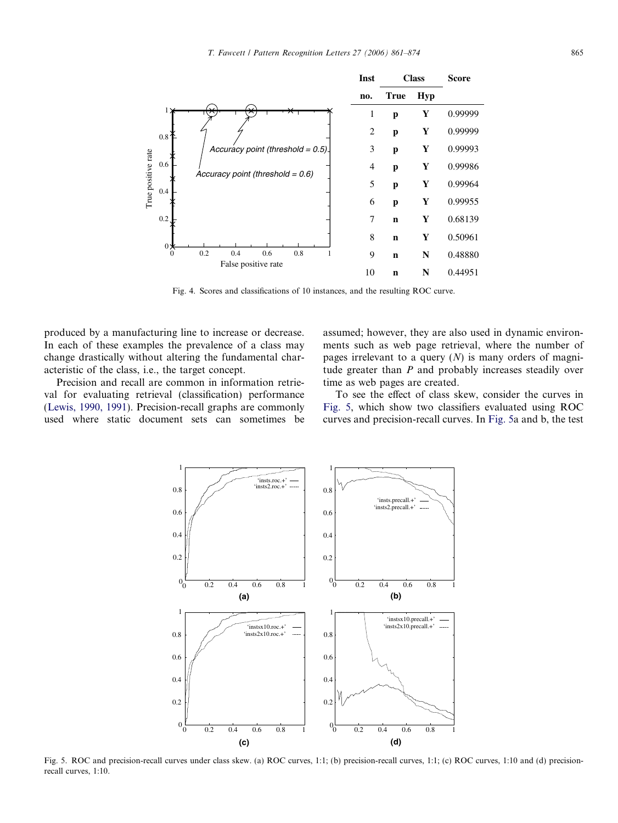<span id="page-4-0"></span>

Fig. 4. Scores and classifications of 10 instances, and the resulting ROC curve.

produced by a manufacturing line to increase or decrease. In each of these examples the prevalence of a class may change drastically without altering the fundamental characteristic of the class, i.e., the target concept.

Precision and recall are common in information retrieval for evaluating retrieval (classification) performance ([Lewis, 1990, 1991](#page-12-0)). Precision-recall graphs are commonly used where static document sets can sometimes be assumed; however, they are also used in dynamic environments such as web page retrieval, where the number of pages irrelevant to a query  $(N)$  is many orders of magnitude greater than P and probably increases steadily over time as web pages are created.

To see the effect of class skew, consider the curves in Fig. 5, which show two classifiers evaluated using ROC curves and precision-recall curves. In Fig. 5a and b, the test



Fig. 5. ROC and precision-recall curves under class skew. (a) ROC curves, 1:1; (b) precision-recall curves, 1:1; (c) ROC curves, 1:10 and (d) precisionrecall curves, 1:10.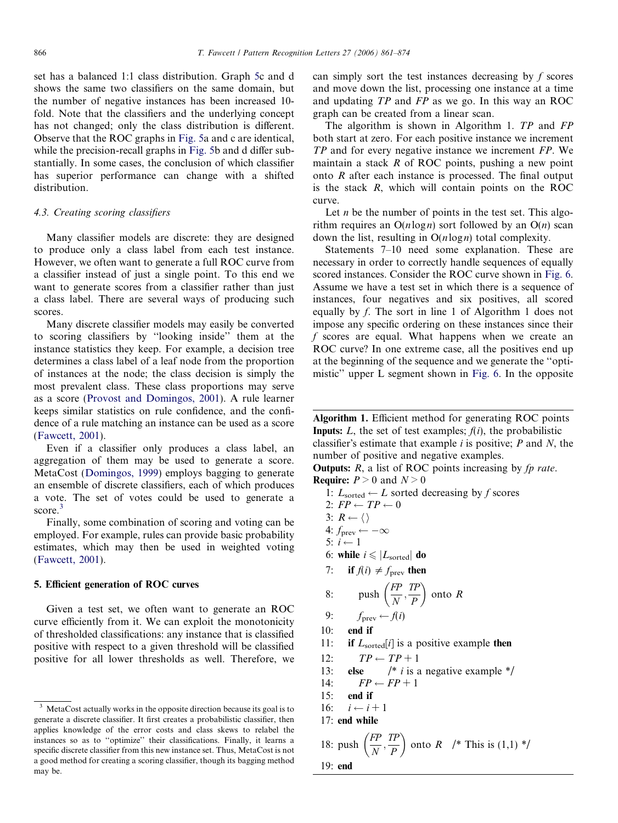set has a balanced 1:1 class distribution. Graph [5](#page-4-0)c and d shows the same two classifiers on the same domain, but the number of negative instances has been increased 10 fold. Note that the classifiers and the underlying concept has not changed; only the class distribution is different. Observe that the ROC graphs in [Fig. 5](#page-4-0)a and c are identical, while the precision-recall graphs in [Fig. 5b](#page-4-0) and d differ substantially. In some cases, the conclusion of which classifier has superior performance can change with a shifted distribution.

#### 4.3. Creating scoring classifiers

Many classifier models are discrete: they are designed to produce only a class label from each test instance. However, we often want to generate a full ROC curve from a classifier instead of just a single point. To this end we want to generate scores from a classifier rather than just a class label. There are several ways of producing such scores.

Many discrete classifier models may easily be converted to scoring classifiers by ''looking inside'' them at the instance statistics they keep. For example, a decision tree determines a class label of a leaf node from the proportion of instances at the node; the class decision is simply the most prevalent class. These class proportions may serve as a score ([Provost and Domingos, 2001\)](#page-12-0). A rule learner keeps similar statistics on rule confidence, and the confidence of a rule matching an instance can be used as a score [\(Fawcett, 2001](#page-12-0)).

Even if a classifier only produces a class label, an aggregation of them may be used to generate a score. MetaCost [\(Domingos, 1999\)](#page-12-0) employs bagging to generate an ensemble of discrete classifiers, each of which produces a vote. The set of votes could be used to generate a score.<sup>3</sup>

Finally, some combination of scoring and voting can be employed. For example, rules can provide basic probability estimates, which may then be used in weighted voting [\(Fawcett, 2001](#page-12-0)).

## 5. Efficient generation of ROC curves

Given a test set, we often want to generate an ROC curve efficiently from it. We can exploit the monotonicity of thresholded classifications: any instance that is classified positive with respect to a given threshold will be classified positive for all lower thresholds as well. Therefore, we

can simply sort the test instances decreasing by  $f$  scores and move down the list, processing one instance at a time and updating TP and FP as we go. In this way an ROC graph can be created from a linear scan.

The algorithm is shown in Algorithm 1. TP and FP both start at zero. For each positive instance we increment TP and for every negative instance we increment FP. We maintain a stack  $R$  of ROC points, pushing a new point onto R after each instance is processed. The final output is the stack  $R$ , which will contain points on the ROC curve.

Let *n* be the number of points in the test set. This algorithm requires an  $O(n \log n)$  sort followed by an  $O(n)$  scan down the list, resulting in  $O(n \log n)$  total complexity.

Statements 7–10 need some explanation. These are necessary in order to correctly handle sequences of equally scored instances. Consider the ROC curve shown in [Fig. 6](#page-6-0). Assume we have a test set in which there is a sequence of instances, four negatives and six positives, all scored equally by f. The sort in line 1 of Algorithm 1 does not impose any specific ordering on these instances since their f scores are equal. What happens when we create an ROC curve? In one extreme case, all the positives end up at the beginning of the sequence and we generate the ''optimistic'' upper L segment shown in [Fig. 6.](#page-6-0) In the opposite

Algorithm 1. Efficient method for generating ROC points **Inputs:**  $L$ , the set of test examples;  $f(i)$ , the probabilistic classifier's estimate that example  $i$  is positive;  $P$  and  $N$ , the number of positive and negative examples.

**Outputs:**  $R$ , a list of ROC points increasing by  $fp$  rate. **Require:**  $P > 0$  and  $N > 0$ 

- 1:  $L_{\text{sorted}} \leftarrow L$  sorted decreasing by f scores
- 2:  $FP \leftarrow TP \leftarrow 0$
- 3:  $R \leftarrow \langle \rangle$
- 4:  $f_{\text{prev}} \leftarrow -\infty$
- 5:  $i \leftarrow 1$ 6: while  $i \leqslant |L_{\text{sorted}}|$  do
- 7: if  $f(i) \neq f_{prev}$  then

8: push 
$$
\left(\frac{FP}{N}, \frac{TP}{P}\right)
$$
 onto R

9: 
$$
f_{\text{prev}} \leftarrow f(i)
$$

10: end if

- 11: if  $L_{\text{sorted}}[i]$  is a positive example then
- 12:  $TP \leftarrow TP + 1$
- 13: **else** /\* *i* is a negative example \*/
- 14:  $FP \leftarrow FP + 1$
- 15: end if
- 16:  $i \leftarrow i + 1$
- 17: end while

18: push 
$$
\left(\frac{FP}{N}, \frac{TP}{P}\right)
$$
 onto *R* /\* This is (1,1) \*/  
19: end

MetaCost actually works in the opposite direction because its goal is to generate a discrete classifier. It first creates a probabilistic classifier, then applies knowledge of the error costs and class skews to relabel the instances so as to ''optimize'' their classifications. Finally, it learns a specific discrete classifier from this new instance set. Thus, MetaCost is not a good method for creating a scoring classifier, though its bagging method may be.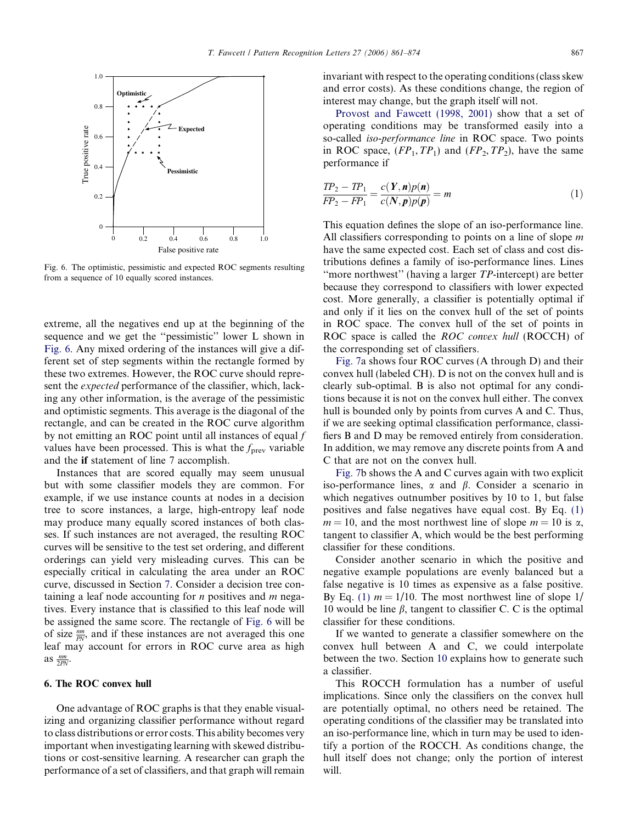<span id="page-6-0"></span>

Fig. 6. The optimistic, pessimistic and expected ROC segments resulting from a sequence of 10 equally scored instances.

extreme, all the negatives end up at the beginning of the sequence and we get the ''pessimistic'' lower L shown in Fig. 6. Any mixed ordering of the instances will give a different set of step segments within the rectangle formed by these two extremes. However, the ROC curve should represent the expected performance of the classifier, which, lacking any other information, is the average of the pessimistic and optimistic segments. This average is the diagonal of the rectangle, and can be created in the ROC curve algorithm by not emitting an ROC point until all instances of equal  $f$ values have been processed. This is what the  $f_{\text{prev}}$  variable and the if statement of line 7 accomplish.

Instances that are scored equally may seem unusual but with some classifier models they are common. For example, if we use instance counts at nodes in a decision tree to score instances, a large, high-entropy leaf node may produce many equally scored instances of both classes. If such instances are not averaged, the resulting ROC curves will be sensitive to the test set ordering, and different orderings can yield very misleading curves. This can be especially critical in calculating the area under an ROC curve, discussed in Section [7.](#page-7-0) Consider a decision tree containing a leaf node accounting for  $n$  positives and  $m$  negatives. Every instance that is classified to this leaf node will be assigned the same score. The rectangle of Fig. 6 will be of size  $\frac{nm}{PN}$ , and if these instances are not averaged this one leaf may account for errors in ROC curve area as high as  $\frac{nm}{2PN}$ .

# 6. The ROC convex hull

One advantage of ROC graphs is that they enable visualizing and organizing classifier performance without regard to class distributions or error costs. This ability becomes very important when investigating learning with skewed distributions or cost-sensitive learning. A researcher can graph the performance of a set of classifiers, and that graph will remain invariant with respect to the operating conditions (class skew and error costs). As these conditions change, the region of interest may change, but the graph itself will not.

[Provost and Fawcett \(1998, 2001\)](#page-12-0) show that a set of operating conditions may be transformed easily into a so-called *iso-performance line* in ROC space. Two points in ROC space,  $(FP_1, TP_1)$  and  $(FP_2, TP_2)$ , have the same performance if

$$
\frac{TP_2 - TP_1}{FP_2 - FP_1} = \frac{c(Y, n)p(n)}{c(N, p)p(p)} = m
$$
\n(1)

This equation defines the slope of an iso-performance line. All classifiers corresponding to points on a line of slope  $m$ have the same expected cost. Each set of class and cost distributions defines a family of iso-performance lines. Lines "more northwest" (having a larger TP-intercept) are better because they correspond to classifiers with lower expected cost. More generally, a classifier is potentially optimal if and only if it lies on the convex hull of the set of points in ROC space. The convex hull of the set of points in ROC space is called the *ROC convex hull* (ROCCH) of the corresponding set of classifiers.

[Fig. 7](#page-7-0)a shows four ROC curves (A through D) and their convex hull (labeled CH). D is not on the convex hull and is clearly sub-optimal. B is also not optimal for any conditions because it is not on the convex hull either. The convex hull is bounded only by points from curves A and C. Thus, if we are seeking optimal classification performance, classifiers B and D may be removed entirely from consideration. In addition, we may remove any discrete points from A and C that are not on the convex hull.

[Fig. 7b](#page-7-0) shows the A and C curves again with two explicit iso-performance lines,  $\alpha$  and  $\beta$ . Consider a scenario in which negatives outnumber positives by 10 to 1, but false positives and false negatives have equal cost. By Eq. (1)  $m = 10$ , and the most northwest line of slope  $m = 10$  is  $\alpha$ , tangent to classifier A, which would be the best performing classifier for these conditions.

Consider another scenario in which the positive and negative example populations are evenly balanced but a false negative is 10 times as expensive as a false positive. By Eq. (1)  $m = 1/10$ . The most northwest line of slope 1/ 10 would be line  $\beta$ , tangent to classifier C. C is the optimal classifier for these conditions.

If we wanted to generate a classifier somewhere on the convex hull between A and C, we could interpolate between the two. Section [10](#page-11-0) explains how to generate such a classifier.

This ROCCH formulation has a number of useful implications. Since only the classifiers on the convex hull are potentially optimal, no others need be retained. The operating conditions of the classifier may be translated into an iso-performance line, which in turn may be used to identify a portion of the ROCCH. As conditions change, the hull itself does not change; only the portion of interest will.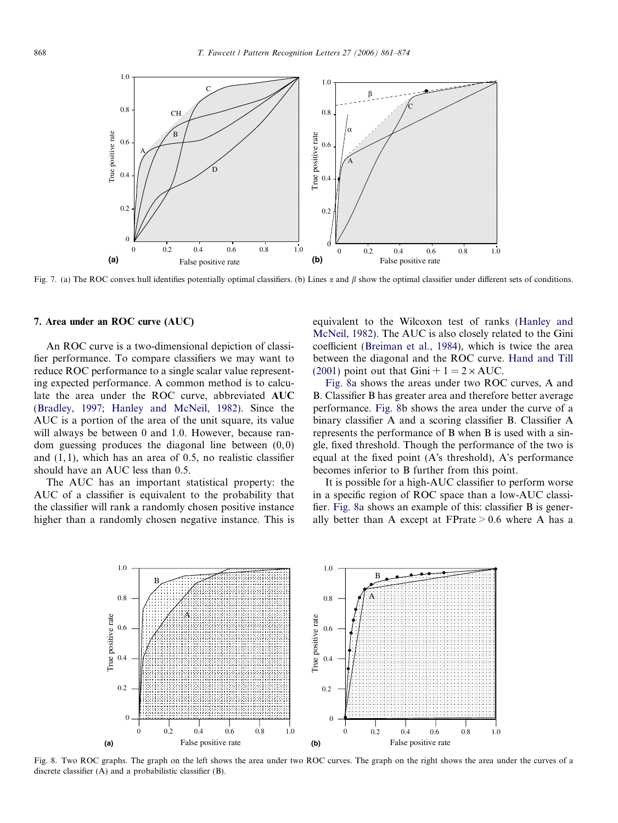<span id="page-7-0"></span>

Fig. 7. (a) The ROC convex hull identifies potentially optimal classifiers. (b) Lines  $\alpha$  and  $\beta$  show the optimal classifier under different sets of conditions.

# 7. Area under an ROC curve (AUC)

An ROC curve is a two-dimensional depiction of classifier performance. To compare classifiers we may want to reduce ROC performance to a single scalar value representing expected performance. A common method is to calculate the area under the ROC curve, abbreviated AUC [\(Bradley, 1997; Hanley and McNeil, 1982\)](#page-12-0). Since the AUC is a portion of the area of the unit square, its value will always be between 0 and 1.0. However, because random guessing produces the diagonal line between  $(0, 0)$ and (1, 1), which has an area of 0.5, no realistic classifier should have an AUC less than 0.5.

The AUC has an important statistical property: the AUC of a classifier is equivalent to the probability that the classifier will rank a randomly chosen positive instance higher than a randomly chosen negative instance. This is equivalent to the Wilcoxon test of ranks [\(Hanley and](#page-12-0) [McNeil, 1982](#page-12-0)). The AUC is also closely related to the Gini coefficient ([Breiman et al., 1984](#page-12-0)), which is twice the area between the diagonal and the ROC curve. [Hand and Till](#page-12-0) [\(2001\)](#page-12-0) point out that Gini +  $1 = 2 \times \text{AUC}$ .

Fig. 8a shows the areas under two ROC curves, A and B. Classifier B has greater area and therefore better average performance. Fig. 8b shows the area under the curve of a binary classifier A and a scoring classifier B. Classifier A represents the performance of B when B is used with a single, fixed threshold. Though the performance of the two is equal at the fixed point  $(A's$  threshold),  $A's$  performance becomes inferior to B further from this point.

It is possible for a high-AUC classifier to perform worse in a specific region of ROC space than a low-AUC classifier. Fig. 8a shows an example of this: classifier B is generally better than A except at  $FPrate > 0.6$  where A has a



Fig. 8. Two ROC graphs. The graph on the left shows the area under two ROC curves. The graph on the right shows the area under the curves of a discrete classifier (A) and a probabilistic classifier (B).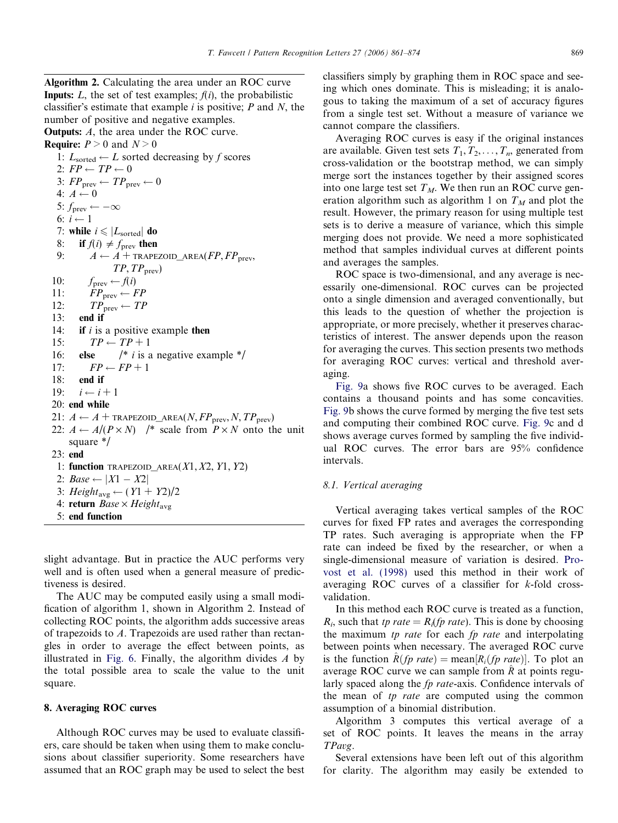Algorithm 2. Calculating the area under an ROC curve **Inputs:**  $L$ , the set of test examples;  $f(i)$ , the probabilistic classifier's estimate that example  $i$  is positive;  $P$  and  $N$ , the number of positive and negative examples. **Outputs:** A, the area under the ROC curve.

**Require:**  $P > 0$  and  $N > 0$ 

1:  $L_{\text{sorted}} \leftarrow L$  sorted decreasing by f scores 2:  $FP \leftarrow TP \leftarrow 0$ 3:  $FP_{prev} \leftarrow TP_{prev} \leftarrow 0$ 4:  $A \leftarrow 0$ 5:  $f_{\text{prev}} \leftarrow -\infty$ 6:  $i \leftarrow 1$ 7: while  $i \leqslant |L_{\text{sorted}}|$  do 8: if  $f(i) \neq f_{prev}$  then 9:  $A \leftarrow A + \text{TRAPEZOID\_AREA}(FP, FP_{prev},$  $TP, TP_{prev}$ 10:  $f_{prev} \leftarrow f(i)$ 11:  $FP_{prev} \leftarrow FP$ 12:  $TP_{prev} \leftarrow TP$ 13: end if 14: if  $i$  is a positive example then 15:  $TP \leftarrow TP + 1$ 16: **else** /\* *i* is a negative example \*/ 17:  $FP \leftarrow FP + 1$ 18: end if 19:  $i \leftarrow i + 1$ 20: end while 21:  $A \leftarrow A$  + TRAPEZOID\_AREA(N,  $FP_{prev}, N, TP_{prev}$ ) 22:  $A \leftarrow A/(P \times N)$  /\* scale from  $P \times N$  onto the unit square \*/ 23: end 1: function TRAPEZOID\_AREA $(X1, X2, Y1, Y2)$ 2: Base  $\leftarrow$   $|X1 - X2|$ 3: Height<sub>avg</sub>  $\leftarrow (Y1 + Y2)/2$ 4: return  $Base \times Height_{\text{avg}}$ 5: end function

slight advantage. But in practice the AUC performs very well and is often used when a general measure of predictiveness is desired.

The AUC may be computed easily using a small modification of algorithm 1, shown in Algorithm 2. Instead of collecting ROC points, the algorithm adds successive areas of trapezoids to A. Trapezoids are used rather than rectangles in order to average the effect between points, as illustrated in [Fig. 6.](#page-6-0) Finally, the algorithm divides  $A$  by the total possible area to scale the value to the unit square.

## 8. Averaging ROC curves

Although ROC curves may be used to evaluate classifiers, care should be taken when using them to make conclusions about classifier superiority. Some researchers have assumed that an ROC graph may be used to select the best classifiers simply by graphing them in ROC space and seeing which ones dominate. This is misleading; it is analogous to taking the maximum of a set of accuracy figures from a single test set. Without a measure of variance we cannot compare the classifiers.

Averaging ROC curves is easy if the original instances are available. Given test sets  $T_1, T_2, \ldots, T_n$ , generated from cross-validation or the bootstrap method, we can simply merge sort the instances together by their assigned scores into one large test set  $T_M$ . We then run an ROC curve generation algorithm such as algorithm 1 on  $T<sub>M</sub>$  and plot the result. However, the primary reason for using multiple test sets is to derive a measure of variance, which this simple merging does not provide. We need a more sophisticated method that samples individual curves at different points and averages the samples.

ROC space is two-dimensional, and any average is necessarily one-dimensional. ROC curves can be projected onto a single dimension and averaged conventionally, but this leads to the question of whether the projection is appropriate, or more precisely, whether it preserves characteristics of interest. The answer depends upon the reason for averaging the curves. This section presents two methods for averaging ROC curves: vertical and threshold averaging.

[Fig. 9](#page-9-0)a shows five ROC curves to be averaged. Each contains a thousand points and has some concavities. [Fig. 9](#page-9-0)b shows the curve formed by merging the five test sets and computing their combined ROC curve. [Fig. 9c](#page-9-0) and d shows average curves formed by sampling the five individual ROC curves. The error bars are 95% confidence intervals.

# 8.1. Vertical averaging

Vertical averaging takes vertical samples of the ROC curves for fixed FP rates and averages the corresponding TP rates. Such averaging is appropriate when the FP rate can indeed be fixed by the researcher, or when a single-dimensional measure of variation is desired. [Pro](#page-12-0)[vost et al. \(1998\)](#page-12-0) used this method in their work of averaging ROC curves of a classifier for k-fold crossvalidation.

In this method each ROC curve is treated as a function,  $R_i$ , such that tp rate =  $R_i$  (fp rate). This is done by choosing the maximum  $tp$  rate for each  $fp$  rate and interpolating between points when necessary. The averaged ROC curve is the function  $\hat{R}(fp \ rate) = \text{mean}[R_i(fp \ rate)]$ . To plot an average ROC curve we can sample from  $\ddot{R}$  at points regularly spaced along the *fp rate*-axis. Confidence intervals of the mean of tp rate are computed using the common assumption of a binomial distribution.

Algorithm 3 computes this vertical average of a set of ROC points. It leaves the means in the array TPavg.

Several extensions have been left out of this algorithm for clarity. The algorithm may easily be extended to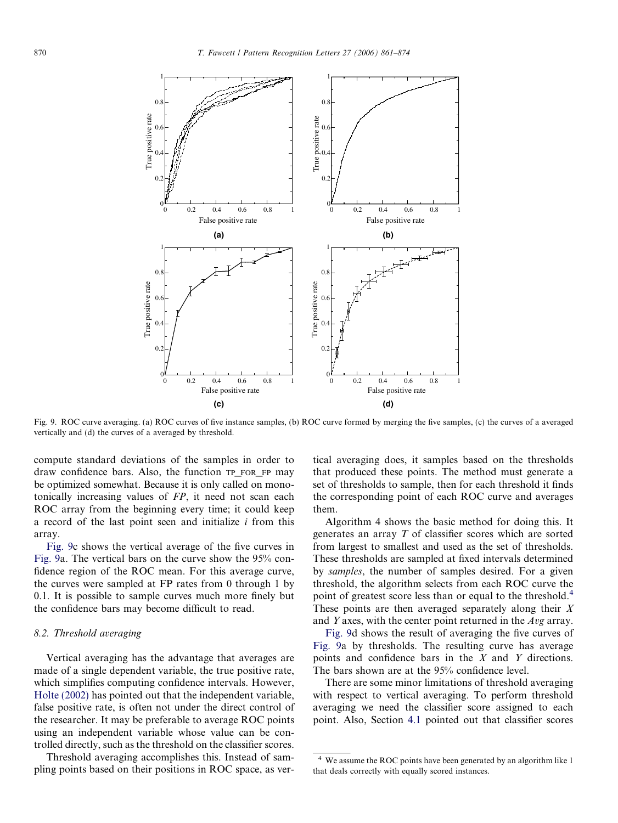<span id="page-9-0"></span>

Fig. 9. ROC curve averaging. (a) ROC curves of five instance samples, (b) ROC curve formed by merging the five samples, (c) the curves of a averaged vertically and (d) the curves of a averaged by threshold.

compute standard deviations of the samples in order to draw confidence bars. Also, the function TP\_FOR\_FP may be optimized somewhat. Because it is only called on monotonically increasing values of FP, it need not scan each ROC array from the beginning every time; it could keep a record of the last point seen and initialize i from this array.

Fig. 9c shows the vertical average of the five curves in Fig. 9a. The vertical bars on the curve show the 95% confidence region of the ROC mean. For this average curve, the curves were sampled at FP rates from 0 through 1 by 0.1. It is possible to sample curves much more finely but the confidence bars may become difficult to read.

### 8.2. Threshold averaging

Vertical averaging has the advantage that averages are made of a single dependent variable, the true positive rate, which simplifies computing confidence intervals. However, [Holte \(2002\)](#page-12-0) has pointed out that the independent variable, false positive rate, is often not under the direct control of the researcher. It may be preferable to average ROC points using an independent variable whose value can be controlled directly, such as the threshold on the classifier scores.

Threshold averaging accomplishes this. Instead of sampling points based on their positions in ROC space, as vertical averaging does, it samples based on the thresholds that produced these points. The method must generate a set of thresholds to sample, then for each threshold it finds the corresponding point of each ROC curve and averages them.

Algorithm 4 shows the basic method for doing this. It generates an array T of classifier scores which are sorted from largest to smallest and used as the set of thresholds. These thresholds are sampled at fixed intervals determined by samples, the number of samples desired. For a given threshold, the algorithm selects from each ROC curve the point of greatest score less than or equal to the threshold.<sup>4</sup> These points are then averaged separately along their X and Y axes, with the center point returned in the Avg array.

Fig. 9d shows the result of averaging the five curves of Fig. 9a by thresholds. The resulting curve has average points and confidence bars in the X and Y directions. The bars shown are at the 95% confidence level.

There are some minor limitations of threshold averaging with respect to vertical averaging. To perform threshold averaging we need the classifier score assigned to each point. Also, Section [4.1](#page-2-0) pointed out that classifier scores

<sup>4</sup> We assume the ROC points have been generated by an algorithm like 1 that deals correctly with equally scored instances.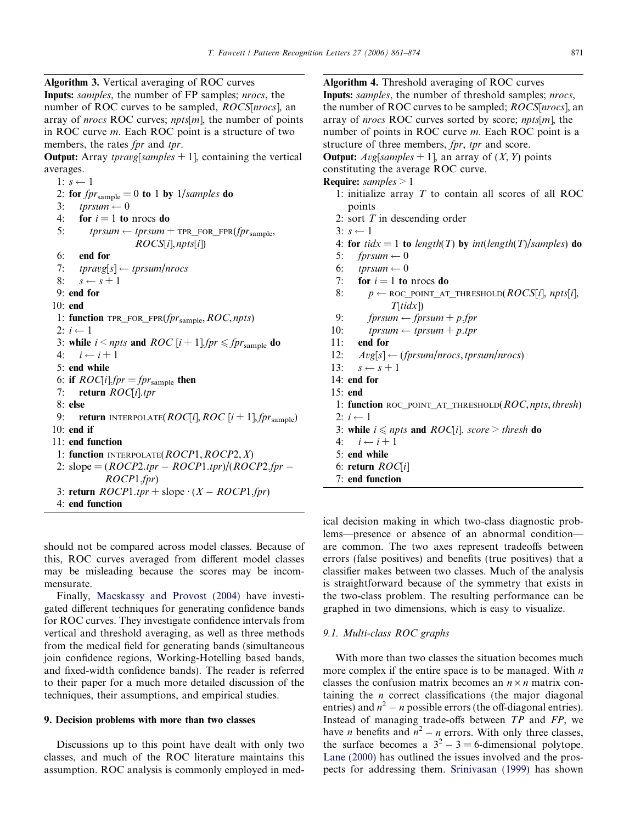Algorithm 3. Vertical averaging of ROC curves Inputs: samples, the number of FP samples; nrocs, the number of ROC curves to be sampled, *ROCS[nrocs*], an array of nrocs ROC curves; npts[m], the number of points in ROC curve m. Each ROC point is a structure of two members, the rates *fpr* and *tpr*.

**Output:** Array *tpravg*[samples  $+ 1$ ], containing the vertical averages.

1:  $s \leftarrow 1$ 2: for  $fpr_{\text{sample}} = 0$  to 1 by 1/samples do 3: tprsum  $\leftarrow$  0 4: for  $i = 1$  to nrocs do 5: tprsum  $\leftarrow$  tprsum + TPR\_FOR\_FPR(fpr<sub>sample</sub>)  $ROCS[i], npts[i]$ 6: end for 7:  $tpravg[s] \leftarrow trpsum/nrocs$ 8:  $s \leftarrow s + 1$ 9: end for 10: end 1: function  $TPR_FOR_FPR(fpr_{sample}, ROC,npts)$ 2:  $i \leftarrow 1$ 3: while  $i \leq npts$  and  $ROC[i+1].fpr \leq fpr_{sample}$  do 4:  $i \leftarrow i + 1$ 5: end while 6: if  $ROC[i].fpr = fpr_{sample}$  then 7: return ROC[i].tpr 8: else 9: return INTERPOLATE( $ROC[i], ROC[i+1],fpr_{\text{sample}}$ ) 10: end if 11: end function 1: function INTERPOLATE(ROCP1, ROCP2, X) 2: slope =  $(ROCP2.tpr - ROCP1.tpr)/(ROCP2.fpr -$ ROCP1.fpr) 3: return  $ROCP1.$ tpr + slope  $(X - ROCP1.$ fpr) 4: end function

should not be compared across model classes. Because of this, ROC curves averaged from different model classes may be misleading because the scores may be incommensurate.

Finally, [Macskassy and Provost \(2004\)](#page-12-0) have investigated different techniques for generating confidence bands for ROC curves. They investigate confidence intervals from vertical and threshold averaging, as well as three methods from the medical field for generating bands (simultaneous join confidence regions, Working-Hotelling based bands, and fixed-width confidence bands). The reader is referred to their paper for a much more detailed discussion of the techniques, their assumptions, and empirical studies.

# 9. Decision problems with more than two classes

Discussions up to this point have dealt with only two classes, and much of the ROC literature maintains this assumption. ROC analysis is commonly employed in med-

| Algorithm 4. Threshold averaging of ROC curves                                 |
|--------------------------------------------------------------------------------|
| Inputs: samples, the number of threshold samples; nrocs,                       |
| the number of ROC curves to be sampled; ROCS[nrocs], an                        |
| array of <i>nrocs</i> ROC curves sorted by score; <i>npts[m]</i> , the         |
| number of points in ROC curve m. Each ROC point is a                           |
| structure of three members, <i>fpr</i> , <i>tpr</i> and score.                 |
| <b>Output:</b> $Avg[samples + 1]$ , an array of $(X, Y)$ points                |
| constituting the average ROC curve.                                            |
| <b>Require:</b> samples $> 1$                                                  |
| 1: initialize array $T$ to contain all scores of all ROC                       |
| points                                                                         |
| 2: sort $T$ in descending order                                                |
| $3: s \leftarrow 1$                                                            |
| 4: for tidx = 1 to length(T) by int(length(T)/samples) do                      |
| 5:<br>$fprsum \leftarrow 0$                                                    |
| tprsum $\leftarrow 0$<br>6:                                                    |
| 7:<br>for $i = 1$ to nrocs do                                                  |
| 8:<br>$p \leftarrow \text{ROC\_POINT\_AT\_THRESHOLD}(ROCS[i], \text{npts}[i],$ |
| T[tidx]                                                                        |
| 9:<br>$fprsum \leftarrow fprsum + p.fpr$                                       |
| 10:<br>$tprsum \leftarrow trrsum + p. tpr$                                     |
| end for<br>11:                                                                 |
| $Avg[s] \leftarrow (fprsum/nrocs, trsum/nrocs)$<br>12:                         |
| 13:<br>$s \leftarrow s + 1$                                                    |
| 14: end for                                                                    |
| $15:$ end                                                                      |
| 1: function ROC_POINT_AT_THRESHOLD(ROC, npts, thresh)                          |
| 2: $i \leftarrow 1$                                                            |
| 3: while $i \leq npts$ and $ROC[i]$ . score > thresh do                        |
| $i \leftarrow i+1$<br>4:                                                       |
| 5: end while                                                                   |
| 6: return $ROC[i]$                                                             |
| 7: end function                                                                |

ical decision making in which two-class diagnostic problems—presence or absence of an abnormal condition are common. The two axes represent tradeoffs between errors (false positives) and benefits (true positives) that a classifier makes between two classes. Much of the analysis is straightforward because of the symmetry that exists in the two-class problem. The resulting performance can be graphed in two dimensions, which is easy to visualize.

## 9.1. Multi-class ROC graphs

With more than two classes the situation becomes much more complex if the entire space is to be managed. With  $n$ classes the confusion matrix becomes an  $n \times n$  matrix containing the  $n$  correct classifications (the major diagonal entries) and  $n^2 - n$  possible errors (the off-diagonal entries). Instead of managing trade-offs between TP and FP, we have *n* benefits and  $n^2 - n$  errors. With only three classes, the surface becomes a  $3^2 - 3 = 6$ -dimensional polytope. [Lane \(2000\)](#page-12-0) has outlined the issues involved and the prospects for addressing them. [Srinivasan \(1999\)](#page-12-0) has shown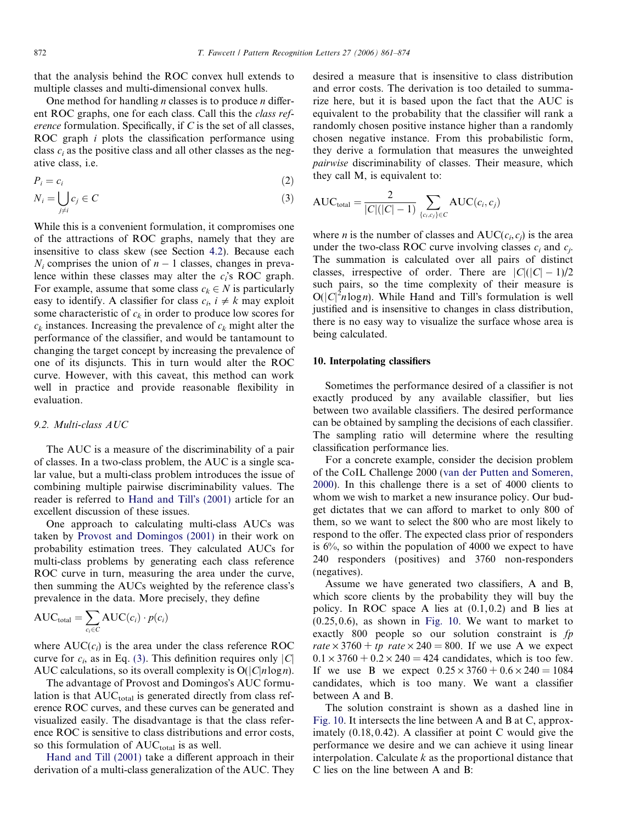<span id="page-11-0"></span>that the analysis behind the ROC convex hull extends to multiple classes and multi-dimensional convex hulls.

One method for handling *n* classes is to produce *n* different ROC graphs, one for each class. Call this the class reference formulation. Specifically, if  $C$  is the set of all classes. ROC graph *i* plots the classification performance using class  $c_i$  as the positive class and all other classes as the negative class, i.e.

$$
P_i = c_i \tag{2}
$$

 $N_i = \begin{pmatrix} \end{pmatrix}$ j≠i  $c_j \in C$  (3)

While this is a convenient formulation, it compromises one of the attractions of ROC graphs, namely that they are insensitive to class skew (see Section [4.2\)](#page-3-0). Because each  $N_i$  comprises the union of  $n - 1$  classes, changes in prevalence within these classes may alter the  $c_i$ 's ROC graph. For example, assume that some class  $c_k \in N$  is particularly easy to identify. A classifier for class  $c_i$ ,  $i \neq k$  may exploit some characteristic of  $c_k$  in order to produce low scores for  $c_k$  instances. Increasing the prevalence of  $c_k$  might alter the performance of the classifier, and would be tantamount to changing the target concept by increasing the prevalence of one of its disjuncts. This in turn would alter the ROC curve. However, with this caveat, this method can work well in practice and provide reasonable flexibility in evaluation.

# 9.2. Multi-class AUC

The AUC is a measure of the discriminability of a pair of classes. In a two-class problem, the AUC is a single scalar value, but a multi-class problem introduces the issue of combining multiple pairwise discriminability values. The reader is referred to [Hand and Till](#page-12-0)'s (2001) article for an excellent discussion of these issues.

One approach to calculating multi-class AUCs was taken by [Provost and Domingos \(2001\)](#page-12-0) in their work on probability estimation trees. They calculated AUCs for multi-class problems by generating each class reference ROC curve in turn, measuring the area under the curve, then summing the AUCs weighted by the reference class's prevalence in the data. More precisely, they define

$$
AUC_{total} = \sum_{c_i \in C} AUC(c_i) \cdot p(c_i)
$$

where  $AUC(c_i)$  is the area under the class reference ROC curve for  $c_i$ , as in Eq. (3). This definition requires only  $|C|$ AUC calculations, so its overall complexity is  $O(|C|n \log n)$ .

The advantage of Provost and Domingos's AUC formulation is that  $AUC_{total}$  is generated directly from class reference ROC curves, and these curves can be generated and visualized easily. The disadvantage is that the class reference ROC is sensitive to class distributions and error costs, so this formulation of  $AUC_{total}$  is as well.

[Hand and Till \(2001\)](#page-12-0) take a different approach in their derivation of a multi-class generalization of the AUC. They

desired a measure that is insensitive to class distribution and error costs. The derivation is too detailed to summarize here, but it is based upon the fact that the AUC is equivalent to the probability that the classifier will rank a randomly chosen positive instance higher than a randomly chosen negative instance. From this probabilistic form, they derive a formulation that measures the unweighted pairwise discriminability of classes. Their measure, which they call M, is equivalent to:

$$
AUC_{\text{total}} = \frac{2}{|C|(|C|-1)} \sum_{\{c_i, c_j\} \in C} AUC(c_i, c_j)
$$

where *n* is the number of classes and  $AUC(c_i, c_i)$  is the area under the two-class ROC curve involving classes  $c_i$  and  $c_i$ . The summation is calculated over all pairs of distinct classes, irrespective of order. There are  $|C|(|C|-1)/2$ such pairs, so the time complexity of their measure is  $O(|C|^2 n \log n)$ . While Hand and Till's formulation is well justified and is insensitive to changes in class distribution, there is no easy way to visualize the surface whose area is being calculated.

## 10. Interpolating classifiers

Sometimes the performance desired of a classifier is not exactly produced by any available classifier, but lies between two available classifiers. The desired performance can be obtained by sampling the decisions of each classifier. The sampling ratio will determine where the resulting classification performance lies.

For a concrete example, consider the decision problem of the CoIL Challenge 2000 [\(van der Putten and Someren,](#page-13-0) [2000\)](#page-13-0). In this challenge there is a set of 4000 clients to whom we wish to market a new insurance policy. Our budget dictates that we can afford to market to only 800 of them, so we want to select the 800 who are most likely to respond to the offer. The expected class prior of responders is 6%, so within the population of 4000 we expect to have 240 responders (positives) and 3760 non-responders (negatives).

Assume we have generated two classifiers, A and B, which score clients by the probability they will buy the policy. In ROC space A lies at  $(0.1, 0.2)$  and B lies at (0.25, 0.6), as shown in [Fig. 10.](#page-12-0) We want to market to exactly 800 people so our solution constraint is fp rate  $\times$  3760 + tp rate  $\times$  240 = 800. If we use A we expect  $0.1 \times 3760 + 0.2 \times 240 = 424$  candidates, which is too few. If we use B we expect  $0.25 \times 3760 + 0.6 \times 240 = 1084$ candidates, which is too many. We want a classifier between A and B.

The solution constraint is shown as a dashed line in [Fig. 10](#page-12-0). It intersects the line between A and B at C, approximately (0.18, 0.42). A classifier at point C would give the performance we desire and we can achieve it using linear interpolation. Calculate  $k$  as the proportional distance that C lies on the line between A and B: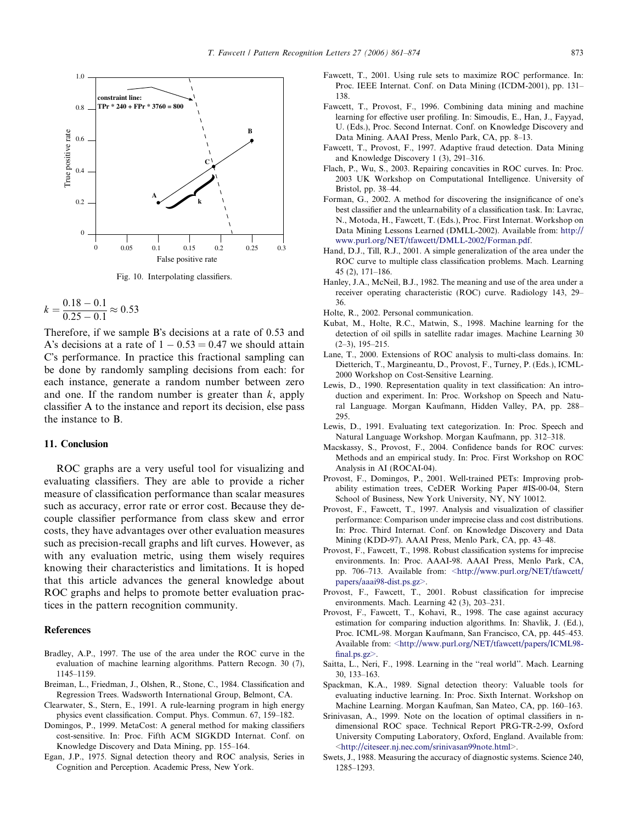<span id="page-12-0"></span>

Fig. 10. Interpolating classifiers.

$$
k = \frac{0.18 - 0.1}{0.25 - 0.1} \approx 0.53
$$

Therefore, if we sample B's decisions at a rate of 0.53 and A's decisions at a rate of  $1 - 0.53 = 0.47$  we should attain C's performance. In practice this fractional sampling can be done by randomly sampling decisions from each: for each instance, generate a random number between zero and one. If the random number is greater than  $k$ , apply classifier A to the instance and report its decision, else pass the instance to B.

# 11. Conclusion

ROC graphs are a very useful tool for visualizing and evaluating classifiers. They are able to provide a richer measure of classification performance than scalar measures such as accuracy, error rate or error cost. Because they decouple classifier performance from class skew and error costs, they have advantages over other evaluation measures such as precision-recall graphs and lift curves. However, as with any evaluation metric, using them wisely requires knowing their characteristics and limitations. It is hoped that this article advances the general knowledge about ROC graphs and helps to promote better evaluation practices in the pattern recognition community.

#### References

- Bradley, A.P., 1997. The use of the area under the ROC curve in the evaluation of machine learning algorithms. Pattern Recogn. 30 (7), 1145–1159.
- Breiman, L., Friedman, J., Olshen, R., Stone, C., 1984. Classification and Regression Trees. Wadsworth International Group, Belmont, CA.
- Clearwater, S., Stern, E., 1991. A rule-learning program in high energy physics event classification. Comput. Phys. Commun. 67, 159–182.
- Domingos, P., 1999. MetaCost: A general method for making classifiers cost-sensitive. In: Proc. Fifth ACM SIGKDD Internat. Conf. on Knowledge Discovery and Data Mining, pp. 155–164.
- Egan, J.P., 1975. Signal detection theory and ROC analysis, Series in Cognition and Perception. Academic Press, New York.
- Fawcett, T., 2001. Using rule sets to maximize ROC performance. In: Proc. IEEE Internat. Conf. on Data Mining (ICDM-2001), pp. 131– 138.
- Fawcett, T., Provost, F., 1996. Combining data mining and machine learning for effective user profiling. In: Simoudis, E., Han, J., Fayyad, U. (Eds.), Proc. Second Internat. Conf. on Knowledge Discovery and Data Mining. AAAI Press, Menlo Park, CA, pp. 8–13.
- Fawcett, T., Provost, F., 1997. Adaptive fraud detection. Data Mining and Knowledge Discovery 1 (3), 291–316.
- Flach, P., Wu, S., 2003. Repairing concavities in ROC curves. In: Proc. 2003 UK Workshop on Computational Intelligence. University of Bristol, pp. 38–44.
- Forman, G., 2002. A method for discovering the insignificance of one's best classifier and the unlearnability of a classification task. In: Lavrac, N., Motoda, H., Fawcett, T. (Eds.), Proc. First Internat. Workshop on Data Mining Lessons Learned (DMLL-2002). Available from: [http://](http://www.purl.org/NET/tfawcett/DMLL-2002/Forman.pdf) [www.purl.org/NET/tfawcett/DMLL-2002/Forman.pdf](http://www.purl.org/NET/tfawcett/DMLL-2002/Forman.pdf).
- Hand, D.J., Till, R.J., 2001. A simple generalization of the area under the ROC curve to multiple class classification problems. Mach. Learning 45 (2), 171–186.
- Hanley, J.A., McNeil, B.J., 1982. The meaning and use of the area under a receiver operating characteristic (ROC) curve. Radiology 143, 29– 36.
- Holte, R., 2002. Personal communication.
- Kubat, M., Holte, R.C., Matwin, S., 1998. Machine learning for the detection of oil spills in satellite radar images. Machine Learning 30 (2–3), 195–215.
- Lane, T., 2000. Extensions of ROC analysis to multi-class domains. In: Dietterich, T., Margineantu, D., Provost, F., Turney, P. (Eds.), ICML-2000 Workshop on Cost-Sensitive Learning.
- Lewis, D., 1990. Representation quality in text classification: An introduction and experiment. In: Proc. Workshop on Speech and Natural Language. Morgan Kaufmann, Hidden Valley, PA, pp. 288– 295.
- Lewis, D., 1991. Evaluating text categorization. In: Proc. Speech and Natural Language Workshop. Morgan Kaufmann, pp. 312–318.
- Macskassy, S., Provost, F., 2004. Confidence bands for ROC curves: Methods and an empirical study. In: Proc. First Workshop on ROC Analysis in AI (ROCAI-04).
- Provost, F., Domingos, P., 2001. Well-trained PETs: Improving probability estimation trees, CeDER Working Paper #IS-00-04, Stern School of Business, New York University, NY, NY 10012.
- Provost, F., Fawcett, T., 1997. Analysis and visualization of classifier performance: Comparison under imprecise class and cost distributions. In: Proc. Third Internat. Conf. on Knowledge Discovery and Data Mining (KDD-97). AAAI Press, Menlo Park, CA, pp. 43–48.
- Provost, F., Fawcett, T., 1998. Robust classification systems for imprecise environments. In: Proc. AAAI-98. AAAI Press, Menlo Park, CA, pp. 706-713. Available from: [<http://www.purl.org/NET/tfawcett/](http://www.purl.org/NET/tfawcett/papers/aaai98-dist.ps.gz) [papers/aaai98-dist.ps.gz>](http://www.purl.org/NET/tfawcett/papers/aaai98-dist.ps.gz).
- Provost, F., Fawcett, T., 2001. Robust classification for imprecise environments. Mach. Learning 42 (3), 203–231.
- Provost, F., Fawcett, T., Kohavi, R., 1998. The case against accuracy estimation for comparing induction algorithms. In: Shavlik, J. (Ed.), Proc. ICML-98. Morgan Kaufmann, San Francisco, CA, pp. 445–453. Available from: [<http://www.purl.org/NET/tfawcett/papers/ICML98](http://www.purl.org/NET/tfawcett/papers/ICML98-final.ps.gz) [final.ps.gz>](http://www.purl.org/NET/tfawcett/papers/ICML98-final.ps.gz).
- Saitta, L., Neri, F., 1998. Learning in the "real world". Mach. Learning 30, 133–163.
- Spackman, K.A., 1989. Signal detection theory: Valuable tools for evaluating inductive learning. In: Proc. Sixth Internat. Workshop on Machine Learning. Morgan Kaufman, San Mateo, CA, pp. 160–163.
- Srinivasan, A., 1999. Note on the location of optimal classifiers in ndimensional ROC space. Technical Report PRG-TR-2-99, Oxford University Computing Laboratory, Oxford, England. Available from: <<http://citeseer.nj.nec.com/srinivasan99note.html>>.
- Swets, J., 1988. Measuring the accuracy of diagnostic systems. Science 240, 1285–1293.